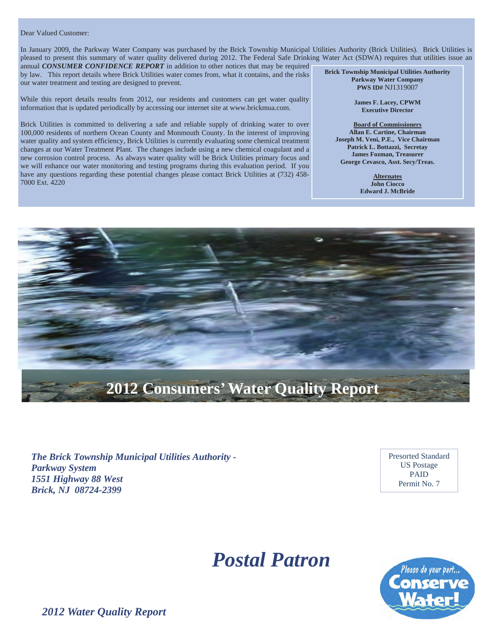#### Dear Valued Customer:

In January 2009, the Parkway Water Company was purchased by the Brick Township Municipal Utilities Authority (Brick Utilities). Brick Utilities is pleased to present this summary of water quality delivered during 2012. The Federal Safe Drinking Water Act (SDWA) requires that utilities issue an

annual *CONSUMER CONFIDENCE REPORT* in addition to other notices that may be required by law. This report details where Brick Utilities water comes from, what it contains, and the risks our water treatment and testing are designed to prevent.

While this report details results from 2012, our residents and customers can get water quality information that is updated periodically by accessing our internet site at www.brickmua.com.

Brick Utilities is committed to delivering a safe and reliable supply of drinking water to over 100,000 residents of northern Ocean County and Monmouth County. In the interest of improving water quality and system efficiency, Brick Utilities is currently evaluating some chemical treatment changes at our Water Treatment Plant. The changes include using a new chemical coagulant and a new corrosion control process. As always water quality will be Brick Utilities primary focus and we will enhance our water monitoring and testing programs during this evaluation period. If you have any questions regarding these potential changes please contact Brick Utilities at (732) 458- 7000 Ext. 4220

**Brick Township Municipal Utilities Authority Parkway Water Company PWS ID#** NJ1319007

> **James F. Lacey, CPWM Executive Director**

**Board of Commissioners Allan E. Cartine, Chairman Joseph M. Veni, P.E., Vice Chairman Patrick L. Bottazzi, Secretay James Fozman, Treasurer George Cevasco, Asst. Secy/Treas.** 

> **Alternates John Ciocco Edward J. McBride**



*The Brick Township Municipal Utilities Authority - Parkway System 1551 Highway 88 West Brick, NJ 08724-2399* 

Presorted Standard US Postage PAID Permit No. 7

# *Postal Patron*



*2012 Water Quality Report*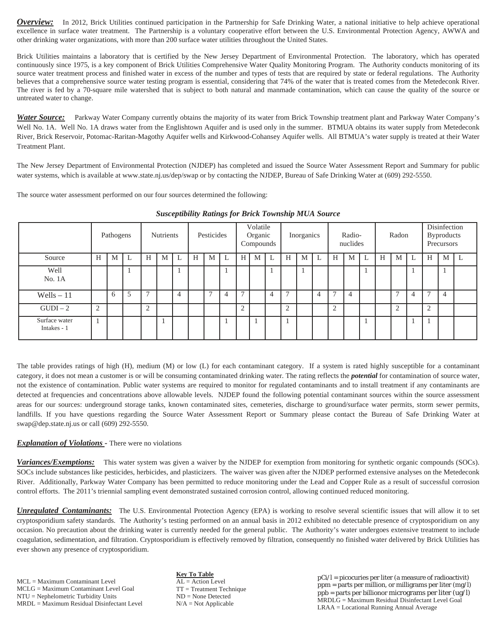*Overview:* In 2012, Brick Utilities continued participation in the Partnership for Safe Drinking Water, a national initiative to help achieve operational excellence in surface water treatment. The Partnership is a voluntary cooperative effort between the U.S. Environmental Protection Agency, AWWA and other drinking water organizations, with more than 200 surface water utilities throughout the United States.

Brick Utilities maintains a laboratory that is certified by the New Jersey Department of Environmental Protection. The laboratory, which has operated continuously since 1975, is a key component of Brick Utilities Comprehensive Water Quality Monitoring Program. The Authority conducts monitoring of its source water treatment process and finished water in excess of the number and types of tests that are required by state or federal regulations. The Authority believes that a comprehensive source water testing program is essential, considering that 74% of the water that is treated comes from the Metedeconk River. The river is fed by a 70-square mile watershed that is subject to both natural and manmade contamination, which can cause the quality of the source or untreated water to change.

*Water Source:* Parkway Water Company currently obtains the majority of its water from Brick Township treatment plant and Parkway Water Company's Well No. 1A. Well No. 1A draws water from the Englishtown Aquifer and is used only in the summer. BTMUA obtains its water supply from Metedeconk River, Brick Reservoir, Potomac-Raritan-Magothy Aquifer wells and Kirkwood-Cohansey Aquifer wells. All BTMUA's water supply is treated at their Water Treatment Plant.

The New Jersey Department of Environmental Protection (NJDEP) has completed and issued the Source Water Assessment Report and Summary for public water systems, which is available at www.state.nj.us/dep/swap or by contacting the NJDEP, Bureau of Safe Drinking Water at (609) 292-5550.

The source water assessment performed on our four sources determined the following:

|                              | Pathogens      |   | Nutrients |               | Pesticides |                | Volatile<br>Organic<br>Compounds |   | Inorganics |               | Radio-<br>nuclides |                | Radon         |   | Disinfection<br><b>Byproducts</b><br>Precursors |                |   |   |   |   |   |                |                |              |
|------------------------------|----------------|---|-----------|---------------|------------|----------------|----------------------------------|---|------------|---------------|--------------------|----------------|---------------|---|-------------------------------------------------|----------------|---|---|---|---|---|----------------|----------------|--------------|
| Source                       | H              | M | L         | Н             | M          |                | Н                                | M | L          | H             | M                  |                | H             | M | L                                               | H              | M | L | H | M |   | Н              | M              | $\mathsf{L}$ |
| Well<br>No. 1A               |                |   |           |               |            |                |                                  |   |            |               |                    |                |               |   |                                                 |                |   |   |   |   |   |                |                |              |
| $Wells - 11$                 |                | 6 | 5         | $\mathcal{I}$ |            | $\overline{4}$ |                                  | − | 4          | $\mathcal{I}$ |                    | $\overline{4}$ | $\mathcal{I}$ |   | 4                                               | $\mathcal{L}$  | 4 |   |   | − | 4 | $\overline{ }$ | $\overline{4}$ |              |
| $GUDI-2$                     | $\overline{2}$ |   |           | $\bigcap$     |            |                |                                  |   |            | 2             |                    |                | 2             |   |                                                 | $\overline{2}$ |   |   |   | ◠ |   | $\bigcap$      |                |              |
| Surface water<br>Intakes - 1 |                |   |           |               |            |                |                                  |   |            |               |                    |                | п             |   |                                                 |                |   |   |   |   |   |                |                |              |

*Susceptibility Ratings for Brick Township MUA Source*

The table provides ratings of high (H), medium (M) or low (L) for each contaminant category. If a system is rated highly susceptible for a contaminant category, it does not mean a customer is or will be consuming contaminated drinking water. The rating reflects the *potential* for contamination of source water, not the existence of contamination. Public water systems are required to monitor for regulated contaminants and to install treatment if any contaminants are detected at frequencies and concentrations above allowable levels. NJDEP found the following potential contaminant sources within the source assessment areas for our sources: underground storage tanks, known contaminated sites, cemeteries, discharge to ground/surface water permits, storm sewer permits, landfills. If you have questions regarding the Source Water Assessment Report or Summary please contact the Bureau of Safe Drinking Water at swap@dep.state.nj.us or call (609) 292-5550.

## *Explanation of Violations -* There were no violations

**Variances/Exemptions:** This water system was given a waiver by the NJDEP for exemption from monitoring for synthetic organic compounds (SOCs). SOCs include substances like pesticides, herbicides, and plasticizers. The waiver was given after the NJDEP performed extensive analyses on the Metedeconk River. Additionally, Parkway Water Company has been permitted to reduce monitoring under the Lead and Copper Rule as a result of successful corrosion control efforts. The 2011's triennial sampling event demonstrated sustained corrosion control, allowing continued reduced monitoring.

*Unregulated Contaminants:* The U.S. Environmental Protection Agency (EPA) is working to resolve several scientific issues that will allow it to set cryptosporidium safety standards. The Authority's testing performed on an annual basis in 2012 exhibited no detectable presence of cryptosporidium on any occasion. No precaution about the drinking water is currently needed for the general public. The Authority's water undergoes extensive treatment to include coagulation, sedimentation, and filtration. Cryptosporidium is effectively removed by filtration, consequently no finished water delivered by Brick Utilities has ever shown any presence of cryptosporidium.

MCL = Maximum Contaminant Level MCLG = Maximum Contaminant Level Goal NTU = Nephelometric Turbidity Units MRDL = Maximum Residual Disinfectant Level

**Key To Table** AL = Action Level TT = Treatment Technique ND = None Detected  $N/A = Not$  Applicable

pCi/l = picocuries per liter (a measure of radioactivit) ppm = parts per million, or milligrams per liter (mg/l) ppb = parts per billionor micrograms per liter (ug/l) MRDLG = Maximum Residual Disinfectant Level Goal LRAA = Locational Running Annual Average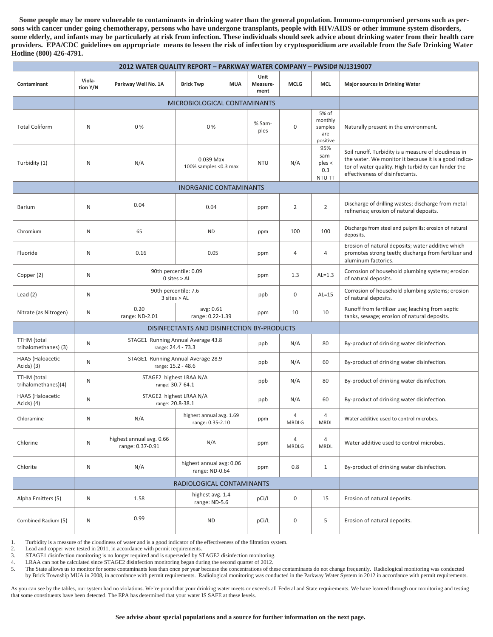**Some people may be more vulnerable to contaminants in drinking water than the general population. Immuno-compromised persons such as persons with cancer under going chemotherapy, persons who have undergone transplants, people with HIV/AIDS or other immune system disorders, some elderly, and infants may be particularly at risk from infection. These individuals should seek advice about drinking water from their health care providers. EPA/CDC guidelines on appropriate means to lessen the risk of infection by cryptosporidium are available from the Safe Drinking Water Hotline (800) 426-4791.** 

| 2012 WATER QUALITY REPORT - PARKWAY WATER COMPANY - PWSID# NJ1319007 |                    |                                                          |                                              |                          |                                            |                                                |                                                                                                                                                                                                         |  |  |  |  |
|----------------------------------------------------------------------|--------------------|----------------------------------------------------------|----------------------------------------------|--------------------------|--------------------------------------------|------------------------------------------------|---------------------------------------------------------------------------------------------------------------------------------------------------------------------------------------------------------|--|--|--|--|
| Contaminant                                                          | Viola-<br>tion Y/N | Parkway Well No. 1A                                      | <b>MUA</b><br><b>Brick Twp</b>               | Unit<br>Measure-<br>ment | <b>MCLG</b>                                | <b>MCL</b>                                     | <b>Major sources in Drinking Water</b>                                                                                                                                                                  |  |  |  |  |
|                                                                      |                    |                                                          | MICROBIOLOGICAL CONTAMINANTS                 |                          |                                            |                                                |                                                                                                                                                                                                         |  |  |  |  |
| <b>Total Coliform</b>                                                | N                  | 0%                                                       | 0 %                                          | % Sam-<br>ples           | $\boldsymbol{0}$                           | 5% of<br>monthly<br>samples<br>are<br>positive | Naturally present in the environment.                                                                                                                                                                   |  |  |  |  |
| Turbidity (1)                                                        | N                  | N/A                                                      | 0.039 Max<br>100% samples <0.3 max           | <b>NTU</b>               | N/A                                        | 95%<br>sam-<br>$p$ les $\lt$<br>0.3<br>NTU TT  | Soil runoff. Turbidity is a measure of cloudiness in<br>the water. We monitor it because it is a good indica-<br>tor of water quality. High turbidity can hinder the<br>effectiveness of disinfectants. |  |  |  |  |
|                                                                      |                    |                                                          | <b>INORGANIC CONTAMINANTS</b>                |                          |                                            |                                                |                                                                                                                                                                                                         |  |  |  |  |
| <b>Barium</b>                                                        | N                  | 0.04                                                     | 0.04                                         | ppm                      | $\overline{2}$                             |                                                | Discharge of drilling wastes; discharge from metal<br>refineries; erosion of natural deposits.                                                                                                          |  |  |  |  |
| Chromium                                                             | ${\sf N}$          | 65                                                       | <b>ND</b>                                    | ppm                      | 100                                        | 100                                            | Discharge from steel and pulpmills; erosion of natural<br>deposits.                                                                                                                                     |  |  |  |  |
| Fluoride                                                             | N                  | 0.16                                                     | 0.05                                         | ppm                      | 4                                          | $\overline{4}$                                 | Erosion of natural deposits; water additive which<br>promotes strong teeth; discharge from fertilizer and<br>aluminum factories.                                                                        |  |  |  |  |
| Copper (2)                                                           | N                  |                                                          | 90th percentile: 0.09<br>$0$ sites $>$ AL    | ppm                      | 1.3                                        | $AL=1.3$                                       | Corrosion of household plumbing systems; erosion<br>of natural deposits.                                                                                                                                |  |  |  |  |
| Lead $(2)$                                                           | N                  | 90th percentile: 7.6<br>$3$ sites $>$ AL                 |                                              | ppb                      | $\boldsymbol{0}$                           | $AL=15$                                        | Corrosion of household plumbing systems; erosion<br>of natural deposits.                                                                                                                                |  |  |  |  |
| Nitrate (as Nitrogen)                                                | N                  | 0.20<br>range: ND-2.01                                   | avg: 0.61<br>range: 0.22-1.39                | ppm                      | 10                                         | 10                                             | Runoff from fertilizer use; leaching from septic<br>tanks, sewage; erosion of natural deposits.                                                                                                         |  |  |  |  |
|                                                                      |                    |                                                          | DISINFECTANTS AND DISINFECTION BY-PRODUCTS   |                          |                                            |                                                |                                                                                                                                                                                                         |  |  |  |  |
| <b>TTHM</b> (total<br>trihalomethanes) (3)                           | N                  | STAGE1 Running Annual Average 43.8<br>range: 24.4 - 73.3 |                                              | 80                       | By-product of drinking water disinfection. |                                                |                                                                                                                                                                                                         |  |  |  |  |
| HAA5 (Haloacetic<br>Acids) (3)                                       | N                  | STAGE1 Running Annual Average 28.9<br>range: 15.2 - 48.6 |                                              | ppb                      | N/A                                        | 60                                             | By-product of drinking water disinfection.                                                                                                                                                              |  |  |  |  |
| <b>TTHM</b> (total<br>trihalomethanes)(4)                            | N                  | STAGE2 highest LRAA N/A<br>range: 30.7-64.1              |                                              | ppb                      | N/A                                        | 80                                             | By-product of drinking water disinfection.                                                                                                                                                              |  |  |  |  |
| HAA5 (Haloacetic<br>Acids) (4)                                       | N                  | STAGE2 highest LRAA N/A<br>range: 20.8-38.1              |                                              | ppb                      | N/A                                        | 60                                             | By-product of drinking water disinfection.                                                                                                                                                              |  |  |  |  |
| Chloramine                                                           | N                  | N/A                                                      | highest annual avg. 1.69<br>range: 0.35-2.10 | ppm                      | 4<br>MRDLG                                 | 4<br><b>MRDL</b>                               | Water additive used to control microbes.                                                                                                                                                                |  |  |  |  |
| Chlorine                                                             | ${\sf N}$          | highest annual avg. 0.66<br>range: 0.37-0.91             | N/A                                          | ppm                      | 4<br>MRDLG                                 | $\overline{4}$<br><b>MRDL</b>                  | Water additive used to control microbes.                                                                                                                                                                |  |  |  |  |
| Chlorite                                                             | ${\sf N}$          | N/A                                                      | highest annual avg: 0.06<br>range: ND-0.64   | ppm                      | 0.8                                        | $\mathbf{1}$                                   | By-product of drinking water disinfection.                                                                                                                                                              |  |  |  |  |
|                                                                      |                    | RADIOLOGICAL CONTAMINANTS                                |                                              |                          |                                            |                                                |                                                                                                                                                                                                         |  |  |  |  |
| Alpha Emitters (5)                                                   | N                  | 1.58                                                     | highest avg. 1.4<br>range: ND-5.6            | pCi/L                    | $\mathbf 0$<br>15                          |                                                | Erosion of natural deposits.                                                                                                                                                                            |  |  |  |  |
| Combined Radium (5)                                                  | N                  | 0.99                                                     | <b>ND</b>                                    | pCi/L                    | 0                                          | 5                                              | Erosion of natural deposits.                                                                                                                                                                            |  |  |  |  |

1. Turbidity is a measure of the cloudiness of water and is a good indicator of the effectiveness of the filtration system.

2. Lead and copper were tested in 2011, in accordance with permit requirements.

3. STAGE1 disinfection monitoring is no longer required and is superseded by STAGE2 disinfection monitoring.

4. LRAA can not be calculated since STAGE2 disinfection monitoring began during the second quarter of 2012.<br>5. The State allows us to monitor for some contaminants less than once per year because the concentrations of th

The State allows us to monitor for some contaminants less than once per year because the concentrations of these contaminants do not change frequently. Radiological monitoring was conducted by Brick Township MUA in 2008, in accordance with permit requirements. Radiological monitoring was conducted in the Parkway Water System in 2012 in accordance with permit requirements.

As you can see by the tables, our system had no violations. We're proud that your drinking water meets or exceeds all Federal and State requirements. We have learned through our monitoring and testing that some constituents have been detected. The EPA has determined that your water IS SAFE at these levels.